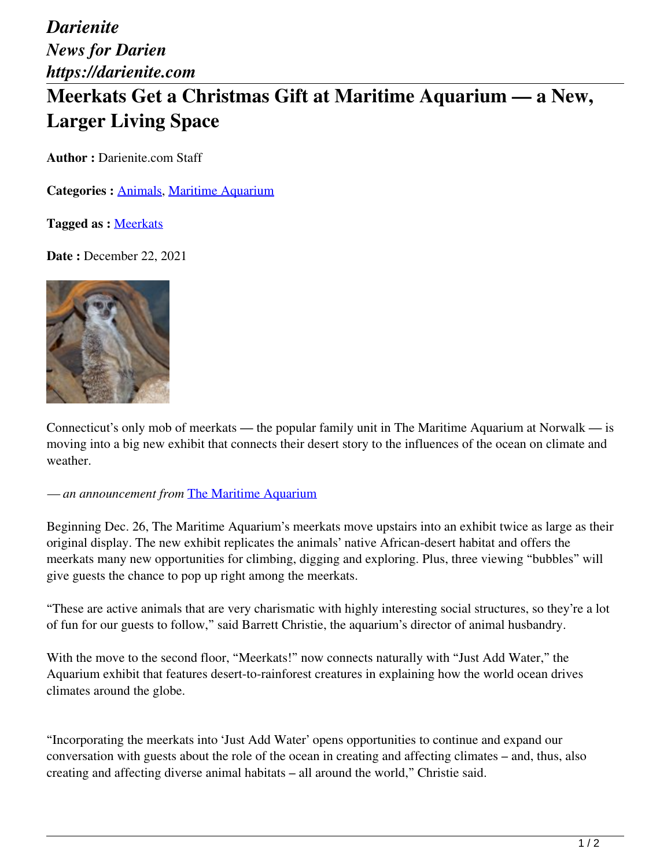*Darienite News for Darien https://darienite.com* **Meerkats Get a Christmas Gift at Maritime Aquarium — a New, Larger Living Space**

**Author :** Darienite.com Staff

**Categories :** [Animals,](https://darienite.com/category/animals) Maritime Aquarium

**Tagged as :** Meerkats

**Date : December 22, 2021** 



Connecticut's only mob of meerkats — the popular family unit in The Maritime Aquarium at Norwalk — is moving into a big new exhibit that connects their desert story to the influences of the ocean on climate and weather.

*— an announcement from* The Maritime Aquarium

Beginning Dec. 26, The Maritime Aquarium's meerkats move upstairs into an exhibit twice as large as their original display. The new exhibit replicates the animals' native African-desert habitat and offers the meerkats many new opportunities for climbing, digging and exploring. Plus, three viewing "bubbles" will give guests the chance to pop up right among the meerkats.

"These are active animals that are very charismatic with highly interesting social structures, so they're a lot of fun for our guests to follow," said Barrett Christie, the aquarium's director of animal husbandry.

With the move to the second floor, "Meerkats!" now connects naturally with "Just Add Water," the Aquarium exhibit that features desert-to-rainforest creatures in explaining how the world ocean drives climates around the globe.

"Incorporating the meerkats into 'Just Add Water' opens opportunities to continue and expand our conversation with guests about the role of the ocean in creating and affecting climates – and, thus, also creating and affecting diverse animal habitats – all around the world," Christie said.